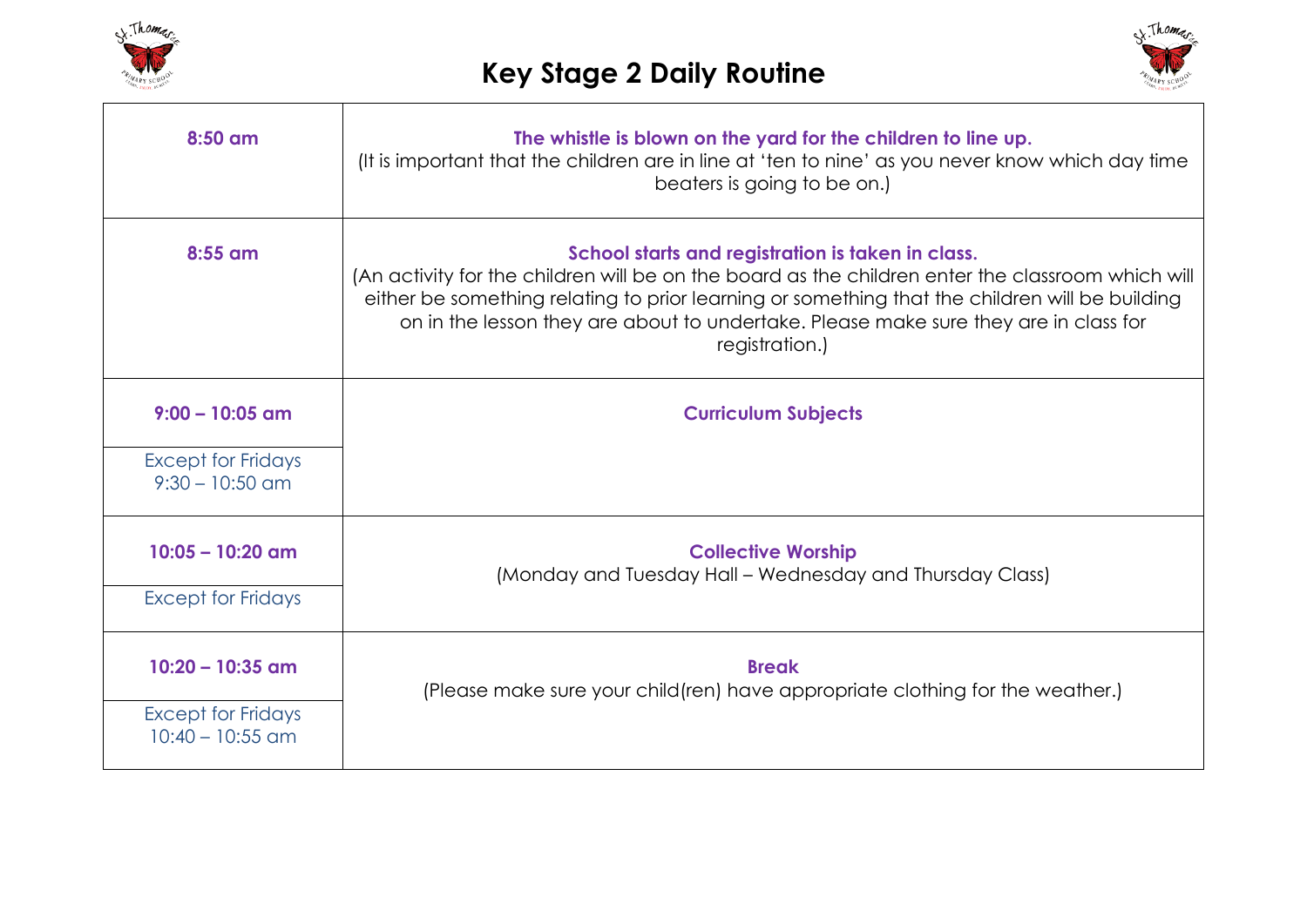



| $8:50$ am                                       | The whistle is blown on the yard for the children to line up.<br>(It is important that the children are in line at 'ten to nine' as you never know which day time<br>beaters is going to be on.)                                                                                                                                                                   |
|-------------------------------------------------|--------------------------------------------------------------------------------------------------------------------------------------------------------------------------------------------------------------------------------------------------------------------------------------------------------------------------------------------------------------------|
| $8:55$ am                                       | School starts and registration is taken in class.<br>(An activity for the children will be on the board as the children enter the classroom which will<br>either be something relating to prior learning or something that the children will be building<br>on in the lesson they are about to undertake. Please make sure they are in class for<br>registration.) |
| $9:00 - 10:05$ am                               | <b>Curriculum Subjects</b>                                                                                                                                                                                                                                                                                                                                         |
| <b>Except for Fridays</b><br>$9:30 - 10:50$ am  |                                                                                                                                                                                                                                                                                                                                                                    |
| $10:05 - 10:20$ am                              | <b>Collective Worship</b><br>(Monday and Tuesday Hall - Wednesday and Thursday Class)                                                                                                                                                                                                                                                                              |
| <b>Except for Fridays</b>                       |                                                                                                                                                                                                                                                                                                                                                                    |
| $10:20 - 10:35$ am                              | <b>Break</b><br>(Please make sure your child (ren) have appropriate clothing for the weather.)                                                                                                                                                                                                                                                                     |
| <b>Except for Fridays</b><br>$10:40 - 10:55$ am |                                                                                                                                                                                                                                                                                                                                                                    |